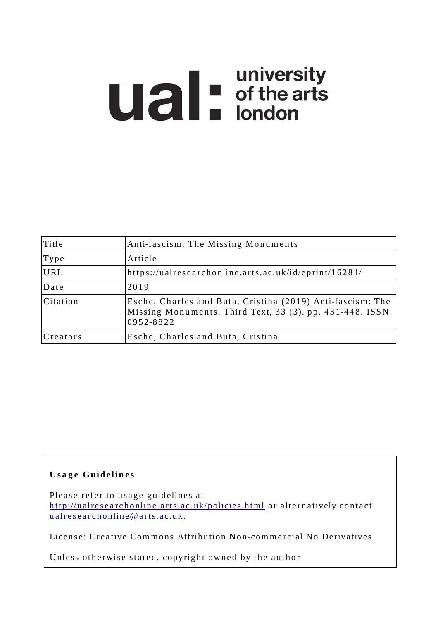# **Ual** For differents

| Title    | Anti-fascism: The Missing Monuments                                                                                                 |
|----------|-------------------------------------------------------------------------------------------------------------------------------------|
| Type     | Article                                                                                                                             |
| URL      | https://ualresearchonline.arts.ac.uk/id/eprint/16281/                                                                               |
| Date     | 2019                                                                                                                                |
| Citation | Esche, Charles and Buta, Cristina (2019) Anti-fascism: The<br>Missing Monuments. Third Text, 33 (3). pp. 431-448. ISSN<br>0952-8822 |
| Creators | Esche, Charles and Buta, Cristina                                                                                                   |

# **U s a g e Gui d e li n e s**

Please refer to usage guidelines at http://ualresearchonline.arts.ac.uk/policies.html or alternatively contact u alres e archonline@ arts.ac.uk.

License: Creative Commons Attribution Non-commercial No Derivatives

Unless otherwise stated, copyright owned by the author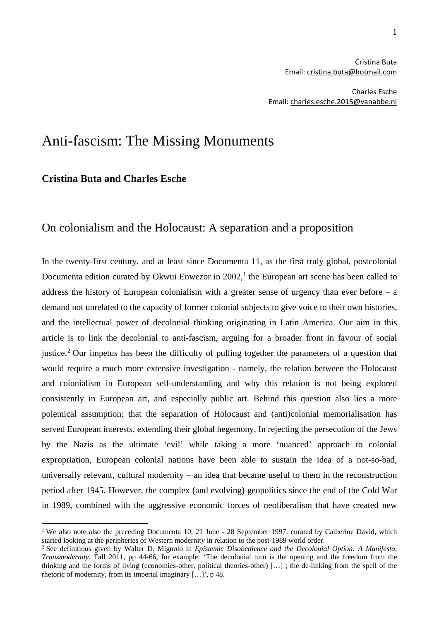Charles Esche Email: [charles.esche.2015@vanabbe.nl](mailto:charles.esche.2015@vanabbe.nl)

# Anti-fascism: The Missing Monuments

### **Cristina Buta and Charles Esche**

## On colonialism and the Holocaust: A separation and a proposition

In the twenty-first century, and at least since Documenta 11, as the first truly global, postcolonial Documenta edition curated by Okwui Enwezor in 2002,<sup>[1](#page-1-0)</sup> the European art scene has been called to address the history of European colonialism with a greater sense of urgency than ever before – a demand not unrelated to the capacity of former colonial subjects to give voice to their own histories, and the intellectual power of decolonial thinking originating in Latin America. Our aim in this article is to link the decolonial to anti-fascism, arguing for a broader front in favour of social justice.<sup>[2](#page-1-1)</sup> Our impetus has been the difficulty of pulling together the parameters of a question that would require a much more extensive investigation - namely, the relation between the Holocaust and colonialism in European self-understanding and why this relation is not being explored consistently in European art, and especially public art. Behind this question also lies a more polemical assumption: that the separation of Holocaust and (anti)colonial memorialisation has served European interests, extending their global hegemony. In rejecting the persecution of the Jews by the Nazis as the ultimate 'evil' while taking a more 'nuanced' approach to colonial expropriation, European colonial nations have been able to sustain the idea of a not-so-bad, universally relevant, cultural modernity – an idea that became useful to them in the reconstruction period after 1945. However, the complex (and evolving) geopolitics since the end of the Cold War in 1989, combined with the aggressive economic forces of neoliberalism that have created new

<span id="page-1-0"></span><sup>&</sup>lt;sup>1</sup> We also note also the preceding Documenta 10, 21 June - 28 September 1997, curated by Catherine David, which started looking at the peripheries of Western modernity in relation to the post-1989 world order. 2 See definitions given by Walter D. Mignolo in *Epistemic Disobedience and the Decolonial Option: A Manifesto*,

<span id="page-1-1"></span>*Transmodernity*, Fall 2011, pp 44-66, for example: 'The decolonial turn is the opening and the freedom from the thinking and the forms of living (economies-other, political theories-other) […] ; the de-linking from the spell of the rhetoric of modernity, from its imperial imaginary […]', p 48.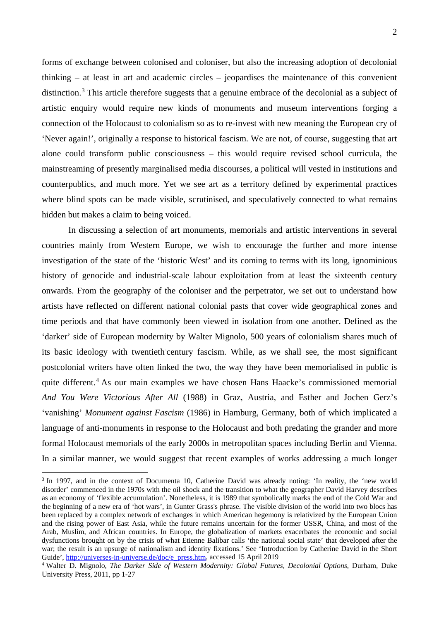forms of exchange between colonised and coloniser, but also the increasing adoption of decolonial thinking – at least in art and academic circles – jeopardises the maintenance of this convenient distinction.<sup>[3](#page-2-0)</sup> This article therefore suggests that a genuine embrace of the decolonial as a subject of artistic enquiry would require new kinds of monuments and museum interventions forging a connection of the Holocaust to colonialism so as to re-invest with new meaning the European cry of 'Never again!', originally a response to historical fascism. We are not, of course, suggesting that art alone could transform public consciousness – this would require revised school curricula, the mainstreaming of presently marginalised media discourses, a political will vested in institutions and counterpublics, and much more. Yet we see art as a territory defined by experimental practices where blind spots can be made visible, scrutinised, and speculatively connected to what remains hidden but makes a claim to being voiced.

In discussing a selection of art monuments, memorials and artistic interventions in several countries mainly from Western Europe, we wish to encourage the further and more intense investigation of the state of the 'historic West' and its coming to terms with its long, ignominious history of genocide and industrial-scale labour exploitation from at least the sixteenth century onwards. From the geography of the coloniser and the perpetrator, we set out to understand how artists have reflected on different national colonial pasts that cover wide geographical zones and time periods and that have commonly been viewed in isolation from one another. Defined as the 'darker' side of European modernity by Walter Mignolo, 500 years of colonialism shares much of its basic ideology with twentieth century fascism. While, as we shall see, the most significant postcolonial writers have often linked the two, the way they have been memorialised in public is quite different.<sup>[4](#page-2-1)</sup> As our main examples we have chosen Hans Haacke's commissioned memorial *And You Were Victorious After All* (1988) in Graz, Austria, and Esther and Jochen Gerz's 'vanishing' *Monument against Fascism* (1986) in Hamburg, Germany, both of which implicated a language of anti-monuments in response to the Holocaust and both predating the grander and more formal Holocaust memorials of the early 2000s in metropolitan spaces including Berlin and Vienna. In a similar manner, we would suggest that recent examples of works addressing a much longer

<span id="page-2-0"></span> <sup>3</sup> In 1997, and in the context of Documenta 10, Catherine David was already noting: 'In reality, the 'new world disorder' commenced in the 1970s with the oil shock and the transition to what the geographer David Harvey describes as an economy of 'flexible accumulation'. Nonetheless, it is 1989 that symbolically marks the end of the Cold War and the beginning of a new era of 'hot wars', in Gunter Grass's phrase. The visible division of the world into two blocs has been replaced by a complex network of exchanges in which American hegemony is relativized by the European Union and the rising power of East Asia, while the future remains uncertain for the former USSR, China, and most of the Arab, Muslim, and African countries. In Europe, the globalization of markets exacerbates the economic and social dysfunctions brought on by the crisis of what Etienne Balibar calls 'the national social state' that developed after the war; the result is an upsurge of nationalism and identity fixations.' See 'Introduction by Catherine David in the Short Guide', [http://universes-in-universe.de/doc/e\\_press.htm,](http://universes-in-universe.de/doc/e_press.htm) accessed 15 April 2019

<span id="page-2-1"></span><sup>4</sup> Walter D. Mignolo, *The Darker Side of Western Modernity: Global Futures, Decolonial Options*, Durham, Duke University Press, 2011, pp 1-27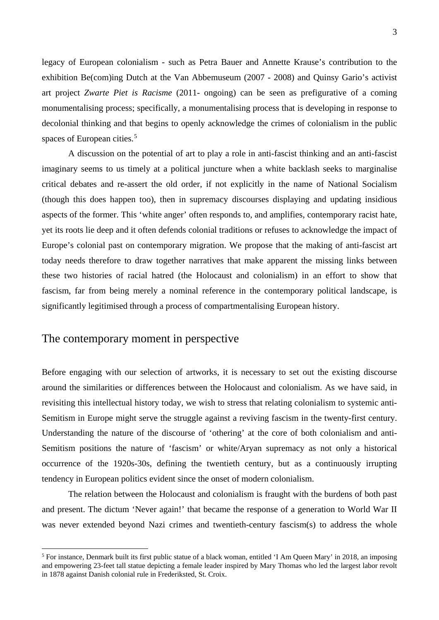legacy of European colonialism - such as Petra Bauer and Annette Krause's contribution to the exhibition Be(com)ing Dutch at the Van Abbemuseum (2007 - 2008) and Quinsy Gario's activist art project *Zwarte Piet is Racisme* (2011- ongoing) can be seen as prefigurative of a coming monumentalising process; specifically, a monumentalising process that is developing in response to decolonial thinking and that begins to openly acknowledge the crimes of colonialism in the public spaces of European cities.<sup>[5](#page-3-0)</sup>

A discussion on the potential of art to play a role in anti-fascist thinking and an anti-fascist imaginary seems to us timely at a political juncture when a white backlash seeks to marginalise critical debates and re-assert the old order, if not explicitly in the name of National Socialism (though this does happen too), then in supremacy discourses displaying and updating insidious aspects of the former. This 'white anger' often responds to, and amplifies, contemporary racist hate, yet its roots lie deep and it often defends colonial traditions or refuses to acknowledge the impact of Europe's colonial past on contemporary migration. We propose that the making of anti-fascist art today needs therefore to draw together narratives that make apparent the missing links between these two histories of racial hatred (the Holocaust and colonialism) in an effort to show that fascism, far from being merely a nominal reference in the contemporary political landscape, is significantly legitimised through a process of compartmentalising European history.

# The contemporary moment in perspective

Before engaging with our selection of artworks, it is necessary to set out the existing discourse around the similarities or differences between the Holocaust and colonialism. As we have said, in revisiting this intellectual history today, we wish to stress that relating colonialism to systemic anti-Semitism in Europe might serve the struggle against a reviving fascism in the twenty-first century. Understanding the nature of the discourse of 'othering' at the core of both colonialism and anti-Semitism positions the nature of 'fascism' or white/Aryan supremacy as not only a historical occurrence of the 1920s-30s, defining the twentieth century, but as a continuously irrupting tendency in European politics evident since the onset of modern colonialism.

The relation between the Holocaust and colonialism is fraught with the burdens of both past and present. The dictum 'Never again!' that became the response of a generation to World War II was never extended beyond Nazi crimes and twentieth-century fascism(s) to address the whole

<span id="page-3-0"></span> <sup>5</sup> For instance, Denmark built its first public statue of a black woman, entitled 'I Am Queen Mary' in 2018, an imposing and empowering 23-feet tall statue depicting a female leader inspired by Mary Thomas who led the largest labor revolt in 1878 against Danish colonial rule in Frederiksted, St. Croix.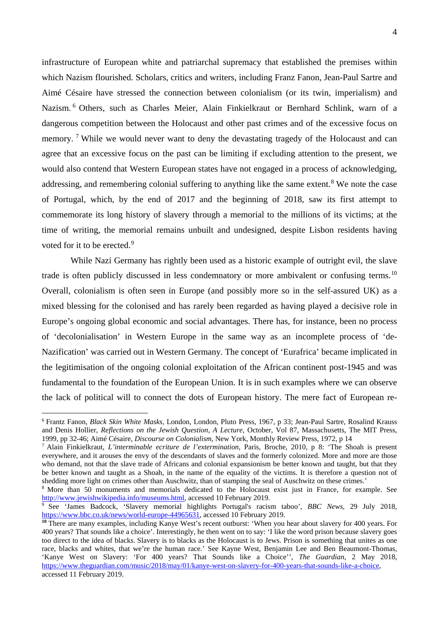infrastructure of European white and patriarchal supremacy that established the premises within which Nazism flourished. Scholars, critics and writers, including Franz Fanon, Jean-Paul Sartre and Aimé Césaire have stressed the connection between colonialism (or its twin, imperialism) and Nazism. [6](#page-4-0) Others, such as Charles Meier, Alain Finkielkraut or Bernhard Schlink, warn of a dangerous competition between the Holocaust and other past crimes and of the excessive focus on memory. <sup>[7](#page-4-1)</sup> While we would never want to deny the devastating tragedy of the Holocaust and can agree that an excessive focus on the past can be limiting if excluding attention to the present, we would also contend that Western European states have not engaged in a process of acknowledging, addressing, and remembering colonial suffering to anything like the same extent.<sup>[8](#page-4-2)</sup> We note the case of Portugal, which, by the end of 2017 and the beginning of 2018, saw its first attempt to commemorate its long history of slavery through a memorial to the millions of its victims; at the time of writing, the memorial remains unbuilt and undesigned, despite Lisbon residents having voted for it to be erected.<sup>[9](#page-4-3)</sup>

While Nazi Germany has rightly been used as a historic example of outright evil, the slave trade is often publicly discussed in less condemnatory or more ambivalent or confusing terms.<sup>[10](#page-4-4)</sup> Overall, colonialism is often seen in Europe (and possibly more so in the self-assured UK) as a mixed blessing for the colonised and has rarely been regarded as having played a decisive role in Europe's ongoing global economic and social advantages. There has, for instance, been no process of 'decolonialisation' in Western Europe in the same way as an incomplete process of 'de-Nazification' was carried out in Western Germany. The concept of 'Eurafrica' became implicated in the legitimisation of the ongoing colonial exploitation of the African continent post-1945 and was fundamental to the foundation of the European Union. It is in such examples where we can observe the lack of political will to connect the dots of European history. The mere fact of European re-

<span id="page-4-0"></span> <sup>6</sup> Frantz Fanon, *Black Skin White Masks*, London, London, Pluto Press, 1967, p 33; Jean-Paul Sartre, Rosalind Krauss and Denis Hollier, *Reflections on the Jewish Question, A Lecture*, October, Vol 87, Massachusetts, The MIT Press, 1999, pp 32-46; Aimé Césaire, *Discourse on Colonialism*, New York, Monthly Review Press, 1972, p 14

<span id="page-4-1"></span><sup>7</sup> Alain Finkielkraut, *L'interminable ecriture de l'extermination*, Paris, Broche, 2010, p 8: 'The Shoah is present everywhere, and it arouses the envy of the descendants of slaves and the formerly colonized. More and more are those who demand, not that the slave trade of Africans and colonial expansionism be better known and taught, but that they be better known and taught as a Shoah, in the name of the equality of the victims. It is therefore a question not of shedding more light on crimes other than Auschwitz, than of stamping the seal of Auschwitz on these crimes.'

<span id="page-4-2"></span><sup>8</sup> More than 50 monuments and memorials dedicated to the Holocaust exist just in France, for example. See [http://www.jewishwikipedia.info/museums.html,](http://www.jewishwikipedia.info/museums.html) accessed 10 February 2019.

<span id="page-4-3"></span><sup>9</sup> See 'James Badcock, 'Slavery memorial highlights Portugal's racism taboo', *BBC News*, 29 July 2018, [https://www.bbc.co.uk/news/world-europe-44965631,](https://www.bbc.co.uk/news/world-europe-44965631) accessed 10 February 2019.

<span id="page-4-4"></span>**<sup>10</sup>** There are many examples, including Kanye West's recent outburst: 'When you hear about slavery for 400 years. For 400 years? That sounds like a choice'. Interestingly, he then went on to say: 'I like the word prison because slavery goes too direct to the idea of blacks. Slavery is to blacks as the Holocaust is to Jews. Prison is something that unites as one race, blacks and whites, that we're the human race.' See Kayne West, Benjamin Lee and Ben Beaumont-Thomas, 'Kanye West on Slavery: 'For 400 years? That Sounds like a Choice'', *The Guardian*, 2 May 2018, [https://www.theguardian.com/music/2018/may/01/kanye-west-on-slavery-for-400-years-that-sounds-like-a-choice,](https://www.theguardian.com/music/2018/may/01/kanye-west-on-slavery-for-400-years-that-sounds-like-a-choice)  accessed 11 February 2019.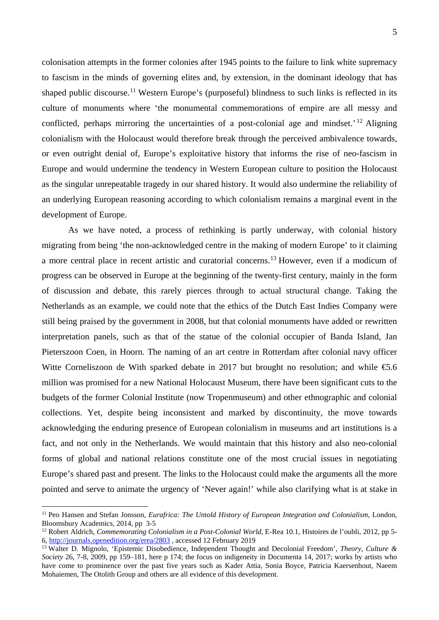colonisation attempts in the former colonies after 1945 points to the failure to link white supremacy to fascism in the minds of governing elites and, by extension, in the dominant ideology that has shaped public discourse.<sup>[11](#page-5-0)</sup> Western Europe's (purposeful) blindness to such links is reflected in its culture of monuments where 'the monumental commemorations of empire are all messy and conflicted, perhaps mirroring the uncertainties of a post-colonial age and mindset.' [12](#page-5-1) Aligning colonialism with the Holocaust would therefore break through the perceived ambivalence towards, or even outright denial of, Europe's exploitative history that informs the rise of neo-fascism in Europe and would undermine the tendency in Western European culture to position the Holocaust as the singular unrepeatable tragedy in our shared history. It would also undermine the reliability of an underlying European reasoning according to which colonialism remains a marginal event in the development of Europe.

As we have noted, a process of rethinking is partly underway, with colonial history migrating from being 'the non-acknowledged centre in the making of modern Europe' to it claiming a more central place in recent artistic and curatorial concerns.<sup>[13](#page-5-2)</sup> However, even if a modicum of progress can be observed in Europe at the beginning of the twenty-first century, mainly in the form of discussion and debate, this rarely pierces through to actual structural change. Taking the Netherlands as an example, we could note that the ethics of the Dutch East Indies Company were still being praised by the government in 2008, but that colonial monuments have added or rewritten interpretation panels, such as that of the statue of the colonial occupier of Banda Island, Jan Pieterszoon Coen, in Hoorn. The naming of an art centre in Rotterdam after colonial navy officer Witte Corneliszoon de With sparked debate in 2017 but brought no resolution; and while  $\epsilon$ 5.6 million was promised for a new National Holocaust Museum, there have been significant cuts to the budgets of the former Colonial Institute (now Tropenmuseum) and other ethnographic and colonial collections. Yet, despite being inconsistent and marked by discontinuity, the move towards acknowledging the enduring presence of European colonialism in museums and art institutions is a fact, and not only in the Netherlands. We would maintain that this history and also neo-colonial forms of global and national relations constitute one of the most crucial issues in negotiating Europe's shared past and present. The links to the Holocaust could make the arguments all the more pointed and serve to animate the urgency of 'Never again!' while also clarifying what is at stake in

<span id="page-5-0"></span> <sup>11</sup> Peo Hansen and Stefan Jonsson, *Eurafrica: The Untold History of European Integration and Colonialism*, London, Bloomsbury Academics, 2014, pp 3-5

<span id="page-5-1"></span><sup>&</sup>lt;sup>12</sup> Robert Aldrich, *Commemorating Colonialism in a Post-Colonial World*, E-Rea 10.1, Histoires de l'oubli, 2012, pp 5-6, <http://journals.openedition.org/erea/2803> , accessed 12 February 2019

<span id="page-5-2"></span><sup>13</sup> Walter D. Mignolo, 'Epistemic Disobedience, Independent Thought and Decolonial Freedom', *Theory, Culture & Society* 26, 7-8, 2009, pp 159–181, here p 174; the focus on indigeneity in Documenta 14, 2017; works by artists who have come to prominence over the past five years such as Kader Attia, Sonia Boyce, Patricia Kaersenhout, Naeem Mohaiemen, The Otolith Group and others are all evidence of this development.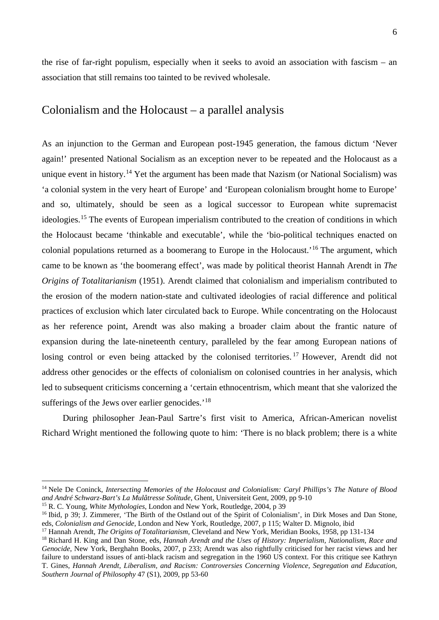the rise of far-right populism, especially when it seeks to avoid an association with fascism – an association that still remains too tainted to be revived wholesale.

# Colonialism and the Holocaust – a parallel analysis

As an injunction to the German and European post-1945 generation, the famous dictum 'Never again!' presented National Socialism as an exception never to be repeated and the Holocaust as a unique event in history.<sup>[14](#page-6-0)</sup> Yet the argument has been made that Nazism (or National Socialism) was 'a colonial system in the very heart of Europe' and 'European colonialism brought home to Europe' and so, ultimately, should be seen as a logical successor to European white supremacist ideologies.[15](#page-6-1) The events of European imperialism contributed to the creation of conditions in which the Holocaust became 'thinkable and executable', while the 'bio-political techniques enacted on colonial populations returned as a boomerang to Europe in the Holocaust.'[16](#page-6-2) The argument, which came to be known as 'the boomerang effect', was made by political theorist Hannah Arendt in *The Origins of Totalitarianism* (1951). Arendt claimed that colonialism and imperialism contributed to the erosion of the modern nation-state and cultivated ideologies of racial difference and political practices of exclusion which later circulated back to Europe. While concentrating on the Holocaust as her reference point, Arendt was also making a broader claim about the frantic nature of expansion during the late-nineteenth century, paralleled by the fear among European nations of losing control or even being attacked by the colonised territories.<sup>[17](#page-6-3)</sup> However, Arendt did not address other genocides or the effects of colonialism on colonised countries in her analysis, which led to subsequent criticisms concerning a 'certain ethnocentrism, which meant that she valorized the sufferings of the Jews over earlier genocides.<sup>'[18](#page-6-4)</sup>

During philosopher Jean-Paul Sartre's first visit to America, African-American novelist Richard Wright mentioned the following quote to him: 'There is no black problem; there is a white

<span id="page-6-0"></span> <sup>14</sup> Nele De Coninck, *Intersecting Memories of the Holocaust and Colonialism: Caryl Phillips's The Nature of Blood and André Schwarz-Bart's La Mulâtresse Solitude*, Ghent, Universiteit Gent, 2009, pp 9-10

<span id="page-6-1"></span><sup>15</sup> R. C. Young, *White Mythologies*, London and New York, Routledge, 2004, p 39

<span id="page-6-2"></span><sup>&</sup>lt;sup>16</sup> Ibid, p 39; J. Zimmerer, 'The Birth of the Ostland out of the Spirit of Colonialism', in Dirk Moses and Dan Stone, eds, *Colonialism and Genocide*, London and New York, Routledge, 2007, p 115; Walter D. Mignolo, ibid

<span id="page-6-3"></span><sup>17</sup> Hannah Arendt, *The Origins of Totalitarianism*, Cleveland and New York, Meridian Books, 1958, pp 131-134

<span id="page-6-4"></span><sup>18</sup> Richard H. King and Dan Stone, eds, *Hannah Arendt and the Uses of History: Imperialism, Nationalism, Race and Genocide*, New York, Berghahn Books, 2007, p 233; Arendt was also rightfully criticised for her racist views and her failure to understand issues of anti-black racism and segregation in the 1960 US context. For this critique see Kathryn T. Gines, *Hannah Arendt, Liberalism, and Racism: Controversies Concerning Violence, Segregation and Education*, *Southern Journal of Philosophy* 47 (S1), 2009, pp 53-60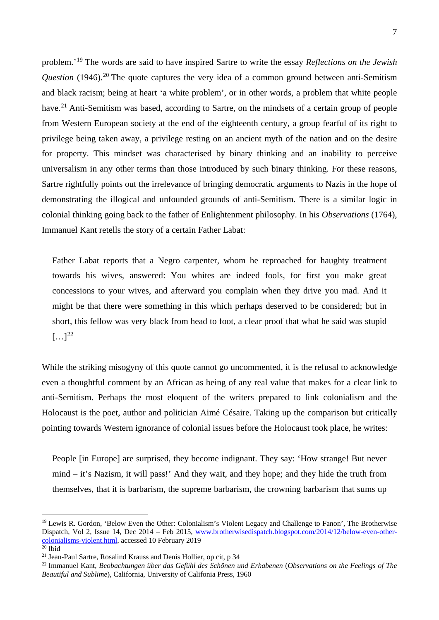problem.'[19](#page-7-0) The words are said to have inspired Sartre to write the essay *Reflections on the Jewish Question* (1946).<sup>[20](#page-7-1)</sup> The quote captures the very idea of a common ground between anti-Semitism and black racism; being at heart 'a white problem', or in other words, a problem that white people have.<sup>[21](#page-7-2)</sup> Anti-Semitism was based, according to Sartre, on the mindsets of a certain group of people from Western European society at the end of the eighteenth century, a group fearful of its right to privilege being taken away, a privilege resting on an ancient myth of the nation and on the desire for property. This mindset was characterised by binary thinking and an inability to perceive universalism in any other terms than those introduced by such binary thinking. For these reasons, Sartre rightfully points out the irrelevance of bringing democratic arguments to Nazis in the hope of demonstrating the illogical and unfounded grounds of anti-Semitism. There is a similar logic in colonial thinking going back to the father of Enlightenment philosophy. In his *Observations* (1764), Immanuel Kant retells the story of a certain Father Labat:

Father Labat reports that a Negro carpenter, whom he reproached for haughty treatment towards his wives, answered: You whites are indeed fools, for first you make great concessions to your wives, and afterward you complain when they drive you mad. And it might be that there were something in this which perhaps deserved to be considered; but in short, this fellow was very black from head to foot, a clear proof that what he said was stupid  $[\ldots]^{22}$  $[\ldots]^{22}$  $[\ldots]^{22}$ 

While the striking misogyny of this quote cannot go uncommented, it is the refusal to acknowledge even a thoughtful comment by an African as being of any real value that makes for a clear link to anti-Semitism. Perhaps the most eloquent of the writers prepared to link colonialism and the Holocaust is the poet, author and politician Aimé Césaire. Taking up the comparison but critically pointing towards Western ignorance of colonial issues before the Holocaust took place, he writes:

People [in Europe] are surprised, they become indignant. They say: 'How strange! But never mind – it's Nazism, it will pass!' And they wait, and they hope; and they hide the truth from themselves, that it is barbarism, the supreme barbarism, the crowning barbarism that sums up

<span id="page-7-0"></span><sup>&</sup>lt;sup>19</sup> Lewis R. Gordon, 'Below Even the Other: Colonialism's Violent Legacy and Challenge to Fanon', The Brotherwise Dispatch, Vol 2, Issue 14, Dec 2014 – Feb 2015, [www.brotherwisedispatch.blogspot.com/2014/12/below-even-other](http://www.brotherwisedispatch.blogspot.com/2014/12/below-even-other-colonialisms-violent.html)[colonialisms-violent.html,](http://www.brotherwisedispatch.blogspot.com/2014/12/below-even-other-colonialisms-violent.html) accessed 10 February 2019

<span id="page-7-1"></span> $20$  Ibid

<span id="page-7-2"></span><sup>21</sup> Jean-Paul Sartre, Rosalind Krauss and Denis Hollier, op cit, p 34

<span id="page-7-3"></span><sup>22</sup> Immanuel Kant, *Beobachtungen über das Gefühl des Schönen und Erhabenen* (*Observations on the Feelings of The Beautiful and Sublime*), California, University of Califonia Press, 1960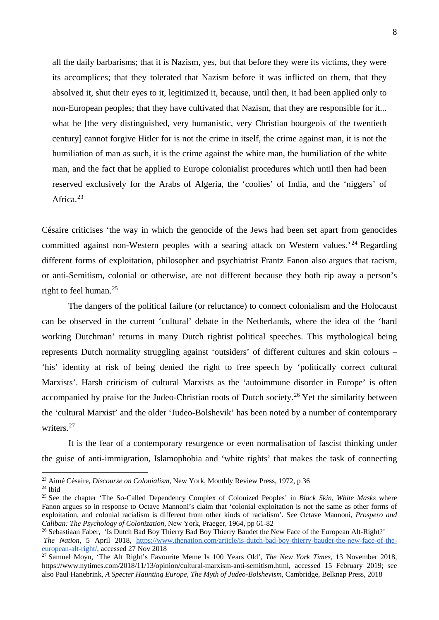all the daily barbarisms; that it is Nazism, yes, but that before they were its victims, they were its accomplices; that they tolerated that Nazism before it was inflicted on them, that they absolved it, shut their eyes to it, legitimized it, because, until then, it had been applied only to non-European peoples; that they have cultivated that Nazism, that they are responsible for it... what he [the very distinguished, very humanistic, very Christian bourgeois of the twentieth century] cannot forgive Hitler for is not the crime in itself, the crime against man, it is not the humiliation of man as such, it is the crime against the white man, the humiliation of the white man, and the fact that he applied to Europe colonialist procedures which until then had been reserved exclusively for the Arabs of Algeria, the 'coolies' of India, and the 'niggers' of Africa.<sup>[23](#page-8-0)</sup>

Césaire criticises 'the way in which the genocide of the Jews had been set apart from genocides committed against non-Western peoples with a searing attack on Western values.<sup>[24](#page-8-1)</sup> Regarding different forms of exploitation, philosopher and psychiatrist Frantz Fanon also argues that racism, or anti-Semitism, colonial or otherwise, are not different because they both rip away a person's right to feel human.<sup>[25](#page-8-2)</sup>

The dangers of the political failure (or reluctance) to connect colonialism and the Holocaust can be observed in the current 'cultural' debate in the Netherlands, where the idea of the 'hard working Dutchman' returns in many Dutch rightist political speeches. This mythological being represents Dutch normality struggling against 'outsiders' of different cultures and skin colours – 'his' identity at risk of being denied the right to free speech by 'politically correct cultural Marxists'. Harsh criticism of cultural Marxists as the 'autoimmune disorder in Europe' is often accompanied by praise for the Judeo-Christian roots of Dutch society.<sup>[26](#page-8-3)</sup> Yet the similarity between the 'cultural Marxist' and the older 'Judeo-Bolshevik' has been noted by a number of contemporary writers.<sup>[27](#page-8-4)</sup>

It is the fear of a contemporary resurgence or even normalisation of fascist thinking under the guise of anti-immigration, Islamophobia and 'white rights' that makes the task of connecting

<span id="page-8-0"></span> <sup>23</sup> Aimé Césaire, *Discourse on Colonialism*, New York, Monthly Review Press, 1972, p 36

<span id="page-8-1"></span><sup>24</sup> Ibid

<span id="page-8-2"></span><sup>25</sup> See the chapter 'The So-Called Dependency Complex of Colonized Peoples' in *Black Skin, White Masks* where Fanon argues so in response to Octave Mannoni's claim that 'colonial exploitation is not the same as other forms of exploitation, and colonial racialism is different from other kinds of racialism'. See Octave Mannoni, *Prospero and Caliban: The Psychology of Colonization*, New York, Praeger, 1964, pp 61-82

<span id="page-8-3"></span><sup>26</sup> Sebastiaan Faber, 'Is Dutch Bad Boy Thierry Bad Boy Thierry Baudet the New Face of the European Alt-Right?' *The Nation*, 5 April 2018, [https://www.thenation.com/article/is-dutch-bad-boy-thierry-baudet-the-new-face-of-the](https://www.thenation.com/article/is-dutch-bad-boy-thierry-baudet-the-new-face-of-the-european-alt-right/)[european-alt-right/,](https://www.thenation.com/article/is-dutch-bad-boy-thierry-baudet-the-new-face-of-the-european-alt-right/) accessed 27 Nov 2018

<span id="page-8-4"></span><sup>27</sup> Samuel Moyn, 'The Alt Right's Favourite Meme Is 100 Years Old', *The New York Times*, 13 November 2018, [https://www.nytimes.com/2018/11/13/opinion/cultural-marxism-anti-semitism.html,](https://www.nytimes.com/2018/11/13/opinion/cultural-marxism-anti-semitism.html) accessed 15 February 2019; see also Paul Hanebrink, *A Specter Haunting Europe, The Myth of Judeo-Bolshevism*, Cambridge, Belknap Press, 2018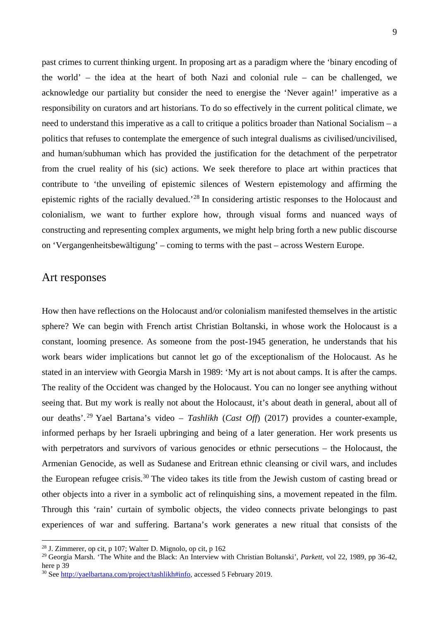past crimes to current thinking urgent. In proposing art as a paradigm where the 'binary encoding of the world' – the idea at the heart of both Nazi and colonial rule – can be challenged, we acknowledge our partiality but consider the need to energise the 'Never again!' imperative as a responsibility on curators and art historians. To do so effectively in the current political climate, we need to understand this imperative as a call to critique a politics broader than National Socialism – a politics that refuses to contemplate the emergence of such integral dualisms as civilised/uncivilised, and human/subhuman which has provided the justification for the detachment of the perpetrator from the cruel reality of his (sic) actions. We seek therefore to place art within practices that contribute to 'the unveiling of epistemic silences of Western epistemology and affirming the epistemic rights of the racially devalued.'[28](#page-9-0) In considering artistic responses to the Holocaust and colonialism, we want to further explore how, through visual forms and nuanced ways of constructing and representing complex arguments, we might help bring forth a new public discourse on 'Vergangenheitsbewältigung' – coming to terms with the past – across Western Europe.

### Art responses

How then have reflections on the Holocaust and/or colonialism manifested themselves in the artistic sphere? We can begin with French artist Christian Boltanski, in whose work the Holocaust is a constant, looming presence. As someone from the post-1945 generation, he understands that his work bears wider implications but cannot let go of the exceptionalism of the Holocaust. As he stated in an interview with Georgia Marsh in 1989: 'My art is not about camps. It is after the camps. The reality of the Occident was changed by the Holocaust. You can no longer see anything without seeing that. But my work is really not about the Holocaust, it's about death in general, about all of our deaths'. [29](#page-9-1) Yael Bartana's video – *Tashlikh* (*Cast Off*) (2017) provides a counter-example, informed perhaps by her Israeli upbringing and being of a later generation. Her work presents us with perpetrators and survivors of various genocides or ethnic persecutions – the Holocaust, the Armenian Genocide, as well as Sudanese and Eritrean ethnic cleansing or civil wars, and includes the European refugee crisis.<sup>[30](#page-9-2)</sup> The video takes its title from the Jewish custom of casting bread or other objects into a river in a symbolic act of relinquishing sins, a movement repeated in the film. Through this 'rain' curtain of symbolic objects, the video connects private belongings to past experiences of war and suffering. Bartana's work generates a new ritual that consists of the

<span id="page-9-0"></span> <sup>28</sup> J. Zimmerer, op cit, p 107; Walter D. Mignolo, op cit, p 162

<span id="page-9-1"></span><sup>29</sup> Georgia Marsh. 'The White and the Black: An Interview with Christian Boltanski', *Parkett*, vol 22, 1989, pp 36-42, here p 39

<span id="page-9-2"></span><sup>30</sup> See [http://yaelbartana.com/project/tashlikh#info,](http://yaelbartana.com/project/tashlikh#info) accessed 5 February 2019.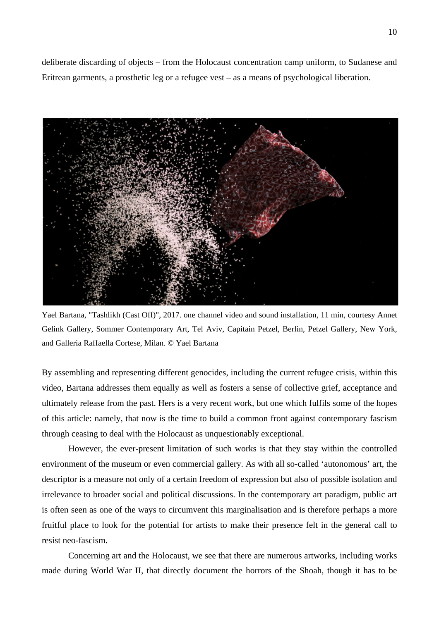deliberate discarding of objects – from the Holocaust concentration camp uniform, to Sudanese and Eritrean garments, a prosthetic leg or a refugee vest – as a means of psychological liberation.



Yael Bartana, "Tashlikh (Cast Off)", 2017. one channel video and sound installation, 11 min, courtesy Annet Gelink Gallery, Sommer Contemporary Art, Tel Aviv, Capitain Petzel, Berlin, Petzel Gallery, New York, and Galleria Raffaella Cortese, Milan. © Yael Bartana

By assembling and representing different genocides, including the current refugee crisis, within this video, Bartana addresses them equally as well as fosters a sense of collective grief, acceptance and ultimately release from the past. Hers is a very recent work, but one which fulfils some of the hopes of this article: namely, that now is the time to build a common front against contemporary fascism through ceasing to deal with the Holocaust as unquestionably exceptional.

However, the ever-present limitation of such works is that they stay within the controlled environment of the museum or even commercial gallery. As with all so-called 'autonomous' art, the descriptor is a measure not only of a certain freedom of expression but also of possible isolation and irrelevance to broader social and political discussions. In the contemporary art paradigm, public art is often seen as one of the ways to circumvent this marginalisation and is therefore perhaps a more fruitful place to look for the potential for artists to make their presence felt in the general call to resist neo-fascism.

Concerning art and the Holocaust, we see that there are numerous artworks, including works made during World War II, that directly document the horrors of the Shoah, though it has to be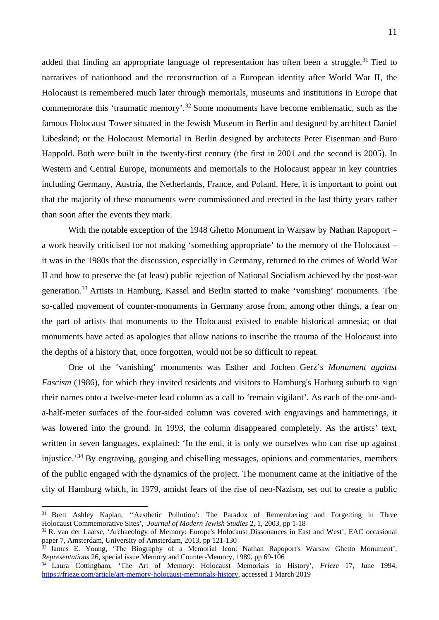added that finding an appropriate language of representation has often been a struggle.<sup>[31](#page-11-0)</sup> Tied to narratives of nationhood and the reconstruction of a European identity after World War II, the Holocaust is remembered much later through memorials, museums and institutions in Europe that commemorate this 'traumatic memory'.[32](#page-11-1) Some monuments have become emblematic, such as the famous Holocaust Tower situated in the Jewish Museum in Berlin and designed by architect Daniel Libeskind; or the Holocaust Memorial in Berlin designed by architects Peter Eisenman and Buro Happold. Both were built in the twenty-first century (the first in 2001 and the second is 2005). In Western and Central Europe, monuments and memorials to the Holocaust appear in key countries including Germany, Austria, the Netherlands, France, and Poland. Here, it is important to point out that the majority of these monuments were commissioned and erected in the last thirty years rather than soon after the events they mark.

With the notable exception of the 1948 Ghetto Monument in Warsaw by Nathan Rapoport – a work heavily criticised for not making 'something appropriate' to the memory of the Holocaust – it was in the 1980s that the discussion, especially in Germany, returned to the crimes of World War II and how to preserve the (at least) public rejection of National Socialism achieved by the post-war generation.[33](#page-11-2) Artists in Hamburg, Kassel and Berlin started to make 'vanishing' monuments. The so-called movement of counter-monuments in Germany arose from, among other things, a fear on the part of artists that monuments to the Holocaust existed to enable historical amnesia; or that monuments have acted as apologies that allow nations to inscribe the trauma of the Holocaust into the depths of a history that, once forgotten, would not be so difficult to repeat.

One of the 'vanishing' monuments was Esther and Jochen Gerz's *Monument against Fascism* (1986), for which they invited residents and visitors to Hamburg's Harburg suburb to sign their names onto a twelve-meter lead column as a call to 'remain vigilant'. As each of the one-anda-half-meter surfaces of the four-sided column was covered with engravings and hammerings, it was lowered into the ground. In 1993, the column disappeared completely. As the artists' text, written in seven languages, explained: 'In the end, it is only we ourselves who can rise up against injustice.'[34](#page-11-3) By engraving, gouging and chiselling messages, opinions and commentaries, members of the public engaged with the dynamics of the project. The monument came at the initiative of the city of Hamburg which, in 1979, amidst fears of the rise of neo-Nazism, set out to create a public

<span id="page-11-0"></span><sup>&</sup>lt;sup>31</sup> Brett Ashley Kaplan, "Aesthetic Pollution': The Paradox of Remembering and Forgetting in Three Holocaust Commemorative Sites'*, Journal of Modern Jewish Studies* 2, 1, 2003, pp 1-18

<span id="page-11-1"></span><sup>32</sup> R. van der Laarse, 'Archaeology of Memory: Europe's Holocaust Dissonances in East and West', EAC occasional paper 7, Amsterdam, University of Amsterdam, 2013, pp 121-130

<span id="page-11-2"></span> $33$  James E. Young, 'The Biography of a Memorial Icon: Nathan Rapoport's Warsaw Ghetto Monument', *Representations* 26, special issue Memory and Counter-Memory, 1989, pp 69-106

<span id="page-11-3"></span><sup>34</sup> Laura Cottingham, 'The Art of Memory: Holocaust Memorials in History', *Frieze* 17, June 1994, [https://frieze.com/article/art-memory-holocaust-memorials-history,](https://frieze.com/article/art-memory-holocaust-memorials-history) accessed 1 March 2019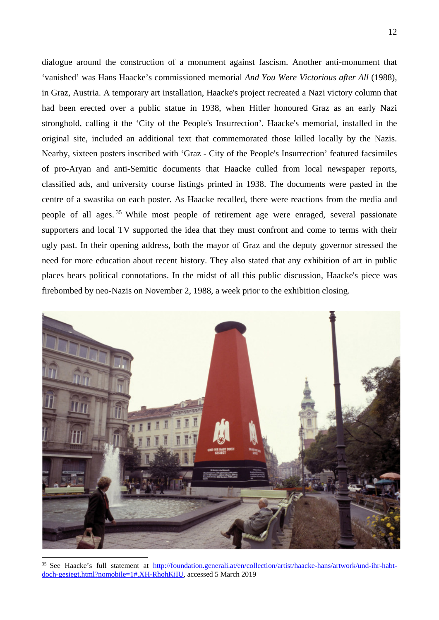dialogue around the construction of a monument against fascism. Another anti-monument that 'vanished' was Hans Haacke's commissioned memorial *And You Were Victorious after All* (1988), in Graz, Austria. A temporary art installation, Haacke's project recreated a Nazi victory column that had been erected over a public statue in 1938, when Hitler honoured Graz as an early Nazi stronghold, calling it the 'City of the People's Insurrection'. Haacke's memorial, installed in the original site, included an additional text that commemorated those killed locally by the Nazis. Nearby, sixteen posters inscribed with 'Graz - City of the People's Insurrection' featured facsimiles of pro-Aryan and anti-Semitic documents that Haacke culled from local newspaper reports, classified ads, and university course listings printed in 1938. The documents were pasted in the centre of a swastika on each poster. As Haacke recalled, there were reactions from the media and people of all ages. [35](#page-12-0) While most people of retirement age were enraged, several passionate supporters and local TV supported the idea that they must confront and come to terms with their ugly past. In their opening address, both the mayor of Graz and the deputy governor stressed the need for more education about recent history. They also stated that any exhibition of art in public places bears political connotations. In the midst of all this public discussion, Haacke's piece was firebombed by neo-Nazis on November 2, 1988, a week prior to the exhibition closing.



<span id="page-12-0"></span><sup>35</sup> See Haacke's full statement at [http://foundation.generali.at/en/collection/artist/haacke-hans/artwork/und-ihr-habt](http://foundation.generali.at/en/collection/artist/haacke-hans/artwork/und-ihr-habt-doch-gesiegt.html?nomobile=1#.XH-RhohKjIU)[doch-gesiegt.html?nomobile=1#.XH-RhohKjIU,](http://foundation.generali.at/en/collection/artist/haacke-hans/artwork/und-ihr-habt-doch-gesiegt.html?nomobile=1#.XH-RhohKjIU) accessed 5 March 2019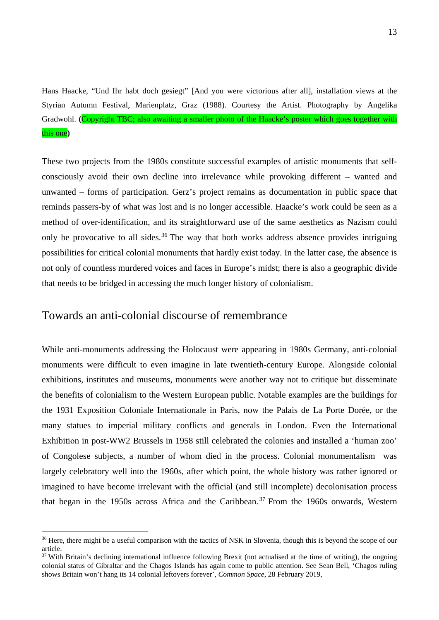Hans Haacke, "Und Ihr habt doch gesiegt" [And you were victorious after all], installation views at the Styrian Autumn Festival, Marienplatz, Graz (1988). Courtesy the Artist. Photography by Angelika Gradwohl. **(**Copyright TBC; also awaiting a smaller photo of the Haacke's poster which goes together with this one**)**

These two projects from the 1980s constitute successful examples of artistic monuments that selfconsciously avoid their own decline into irrelevance while provoking different – wanted and unwanted – forms of participation. Gerz's project remains as documentation in public space that reminds passers-by of what was lost and is no longer accessible. Haacke's work could be seen as a method of over-identification, and its straightforward use of the same aesthetics as Nazism could only be provocative to all sides.<sup>[36](#page-13-0)</sup> The way that both works address absence provides intriguing possibilities for critical colonial monuments that hardly exist today. In the latter case, the absence is not only of countless murdered voices and faces in Europe's midst; there is also a geographic divide that needs to be bridged in accessing the much longer history of colonialism.

### Towards an anti-colonial discourse of remembrance

While anti-monuments addressing the Holocaust were appearing in 1980s Germany, anti-colonial monuments were difficult to even imagine in late twentieth-century Europe. Alongside colonial exhibitions, institutes and museums, monuments were another way not to critique but disseminate the benefits of colonialism to the Western European public. Notable examples are the buildings for the 1931 Exposition Coloniale Internationale in Paris, now the Palais de La Porte Dorée, or the many statues to imperial military conflicts and generals in London. Even the International Exhibitiοn in post-WW2 Brussels in 1958 still celebrated the colonies and installed a 'human zoo' of Congolese subjects, a number of whom died in the process. Colonial monumentalism was largely celebratory well into the 1960s, after which point, the whole history was rather ignored or imagined to have become irrelevant with the official (and still incomplete) decolonisation process that began in the 1950s across Africa and the Caribbean. [37](#page-13-1) From the 1960s onwards, Western

<span id="page-13-0"></span><sup>&</sup>lt;sup>36</sup> Here, there might be a useful comparison with the tactics of NSK in Slovenia, though this is beyond the scope of our article.<br><sup>37</sup> With Britain's declining international influence following Brexit (not actualised at the time of writing), the ongoing

<span id="page-13-1"></span>colonial status of Gibraltar and the Chagos Islands has again come to public attention. See Sean Bell, 'Chagos ruling shows Britain won't hang its 14 colonial leftovers forever'*, Common Space*, 28 February 2019,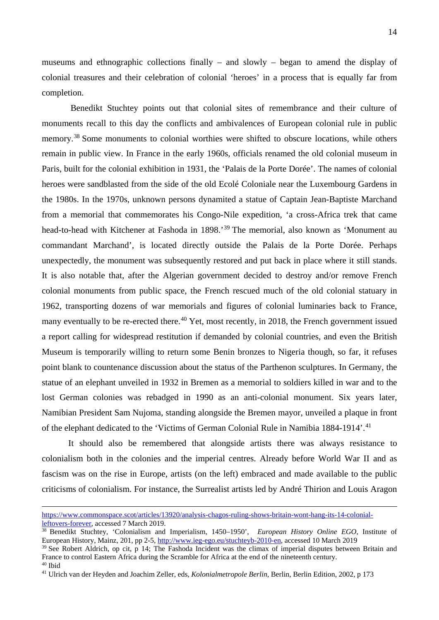museums and ethnographic collections finally – and slowly – began to amend the display of colonial treasures and their celebration of colonial 'heroes' in a process that is equally far from completion.

Benedikt Stuchtey points out that colonial sites of remembrance and their culture of monuments recall to this day the conflicts and ambivalences of European colonial rule in public memory.[38](#page-14-0) Some monuments to colonial worthies were shifted to obscure locations, while others remain in public view. In France in the early 1960s, officials renamed the old colonial museum in Paris, built for the colonial exhibition in 1931, the 'Palais de la Porte Dorée'. The names of colonial heroes were sandblasted from the side of the old Ecolé Coloniale near the Luxembourg Gardens in the 1980s. In the 1970s, unknown persons dynamited a statue of Captain Jean-Baptiste Marchand from a memorial that commemorates his Congo-Nile expedition, 'a cross-Africa trek that came head-to-head with Kitchener at Fashoda in 1898.' [39](#page-14-1) The memorial, also known as 'Monument au commandant Marchand', is located directly outside the Palais de la Porte Dorée. Perhaps unexpectedly, the monument was subsequently restored and put back in place where it still stands. It is also notable that, after the Algerian government decided to destroy and/or remove French colonial monuments from public space, the French rescued much of the old colonial statuary in 1962, transporting dozens of war memorials and figures of colonial luminaries back to France, many eventually to be re-erected there.<sup>[40](#page-14-2)</sup> Yet, most recently, in 2018, the French government issued a report calling for widespread restitution if demanded by colonial countries, and even the British Museum is temporarily willing to return some Benin bronzes to Nigeria though, so far, it refuses point blank to countenance discussion about the status of the Parthenon sculptures. In Germany, the statue of an elephant unveiled in 1932 in Bremen as a memorial to soldiers killed in war and to the lost German colonies was rebadged in 1990 as an anti-colonial monument. Six years later, Namibian President Sam Nujoma, standing alongside the Bremen mayor, unveiled a plaque in front of the elephant dedicated to the 'Victims of German Colonial Rule in Namibia 1884-1914'.<sup>[41](#page-14-3)</sup>

It should also be remembered that alongside artists there was always resistance to colonialism both in the colonies and the imperial centres. Already before World War II and as fascism was on the rise in Europe, artists (on the left) embraced and made available to the public criticisms of colonialism. For instance, the Surrealist artists led by André Thirion and Louis Aragon

<span id="page-14-2"></span><sup>40</sup> Ibid

[https://www.commonspace.scot/articles/13920/analysis-chagos-ruling-shows-britain-wont-hang-its-14-colonial](https://www.commonspace.scot/articles/13920/analysis-chagos-ruling-shows-britain-wont-hang-its-14-colonial-leftovers-forever)[leftovers-forever,](https://www.commonspace.scot/articles/13920/analysis-chagos-ruling-shows-britain-wont-hang-its-14-colonial-leftovers-forever) accessed 7 March 2019.

<span id="page-14-0"></span><sup>38</sup> Benedikt Stuchtey, 'Colonialism and Imperialism, 1450–1950', *European History Online EGO*, Institute of European History, Mainz, 201, pp 2-5, [http://www.ieg-ego.eu/stuchteyb-2010-en,](http://www.ieg-ego.eu/stuchteyb-2010-en) accessed 10 March 2019

<span id="page-14-1"></span><sup>&</sup>lt;sup>39</sup> See Robert Aldrich, op cit, p 14; The Fashoda Incident was the climax of imperial disputes between Britain and France to control Eastern Africa during the Scramble for Africa at the end of the nineteenth century.

<span id="page-14-3"></span><sup>41</sup> Ulrich van der Heyden and Joachim Zeller, eds, *Kolonialmetropole Berlin*, Berlin, Berlin Edition, 2002, p 173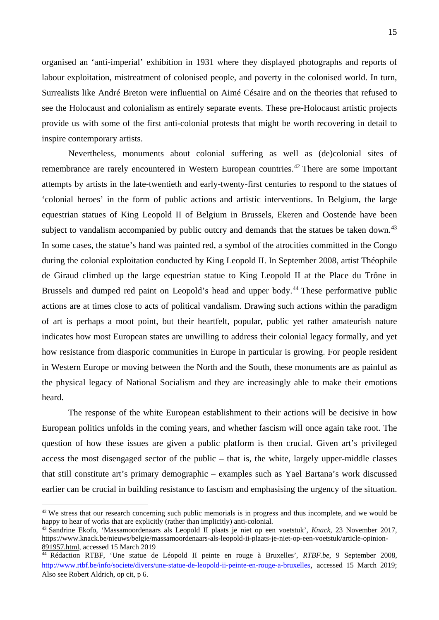organised an 'anti-imperial' exhibition in 1931 where they displayed photographs and reports of labour exploitation, mistreatment of colonised people, and poverty in the colonised world. In turn, Surrealists like André Breton were influential on Aimé Césaire and on the theories that refused to see the Holocaust and colonialism as entirely separate events. These pre-Holocaust artistic projects provide us with some of the first anti-colonial protests that might be worth recovering in detail to inspire contemporary artists.

Nevertheless, monuments about colonial suffering as well as (de)colonial sites of remembrance are rarely encountered in Western European countries.<sup>[42](#page-15-0)</sup> There are some important attempts by artists in the late-twentieth and early-twenty-first centuries to respond to the statues of 'colonial heroes' in the form of public actions and artistic interventions. In Belgium, the large equestrian statues of King Leopold II of Belgium in Brussels, Ekeren and Oostende have been subject to vandalism accompanied by public outcry and demands that the statues be taken down.<sup>[43](#page-15-1)</sup> In some cases, the statue's hand was painted red, a symbol of the atrocities committed in the Congo during the colonial exploitation conducted by King Leopold II. In September 2008, artist Théophile de Giraud climbed up the large equestrian statue to King Leopold II at the Place du Trône in Brussels and dumped red paint on Leopold's head and upper body.<sup>[44](#page-15-2)</sup> These performative public actions are at times close to acts of political vandalism. Drawing such actions within the paradigm of art is perhaps a moot point, but their heartfelt, popular, public yet rather amateurish nature indicates how most European states are unwilling to address their colonial legacy formally, and yet how resistance from diasporic communities in Europe in particular is growing. For people resident in Western Europe or moving between the North and the South, these monuments are as painful as the physical legacy of National Socialism and they are increasingly able to make their emotions heard.

The response of the white European establishment to their actions will be decisive in how European politics unfolds in the coming years, and whether fascism will once again take root. The question of how these issues are given a public platform is then crucial. Given art's privileged access the most disengaged sector of the public – that is, the white, largely upper-middle classes that still constitute art's primary demographic – examples such as Yael Bartana's work discussed earlier can be crucial in building resistance to fascism and emphasising the urgency of the situation.

<span id="page-15-0"></span> $42$  We stress that our research concerning such public memorials is in progress and thus incomplete, and we would be happy to hear of works that are explicitly (rather than implicitly) anti-colonial.

<span id="page-15-1"></span><sup>&</sup>lt;sup>43</sup> Sandrine Ekofo, 'Massamoordenaars als Leopold II plaats je niet op een voetstuk', *Knack*, 23 November 2017, https://www.knack.be/nieuws/belgie/massamoordenaars-als-leopold-ii-plaats-je-niet-op-een-voetstuk/article-opinion-<br>891957.html, accessed 15 March 2019

<span id="page-15-2"></span><sup>&</sup>lt;sup>44</sup> Rédaction RTBF, 'Une statue de Léopold II peinte en rouge à Bruxelles', *RTBF.be*, 9 September 2008, [http://www.rtbf.be/info/societe/divers/une-statue-de-leopold-ii-peinte-en-rouge-a-bruxelles,](http://www.rtbf.be/info/societe/divers/une-statue-de-leopold-ii-peinte-en-rouge-a-bruxelles) accessed 15 March 2019; Also see Robert Aldrich, op cit, p 6.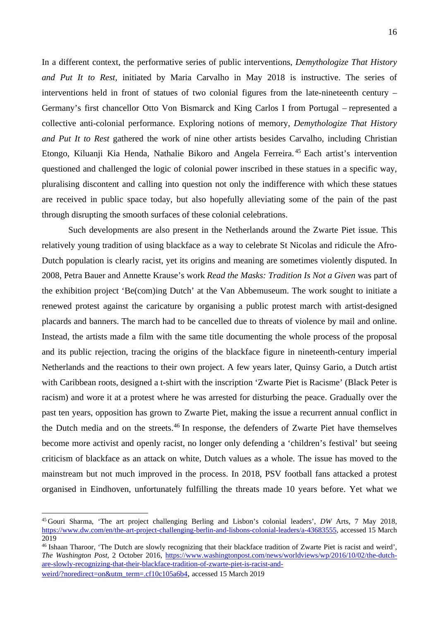In a different context, the performative series of public interventions, *Demythologize That History and Put It to Rest,* initiated by Maria Carvalho in May 2018 is instructive. The series of interventions held in front of statues of two colonial figures from the late-nineteenth century – Germany's first chancellor Otto Von Bismarck and King Carlos I from Portugal – represented a collective anti-colonial performance. Exploring notions of memory, *Demythologize That History and Put It to Rest* gathered the work of nine other artists besides Carvalho, including Christian Etongo, Kiluanji Kia Henda, Nathalie Bikoro and Angela Ferreira. [45](#page-16-0) Each artist's intervention questioned and challenged the logic of colonial power inscribed in these statues in a specific way, pluralising discontent and calling into question not only the indifference with which these statues are received in public space today, but also hopefully alleviating some of the pain of the past through disrupting the smooth surfaces of these colonial celebrations.

Such developments are also present in the Netherlands around the Zwarte Piet issue. This relatively young tradition of using blackface as a way to celebrate St Nicolas and ridicule the Afro-Dutch population is clearly racist, yet its origins and meaning are sometimes violently disputed. In 2008, Petra Bauer and Annette Krause's work *Read the Masks: Tradition Is Not a Given* was part of the exhibition project 'Be(com)ing Dutch' at the Van Abbemuseum. The work sought to initiate a renewed protest against the caricature by organising a public protest march with artist-designed placards and banners. The march had to be cancelled due to threats of violence by mail and online. Instead, the artists made a film with the same title documenting the whole process of the proposal and its public rejection, tracing the origins of the blackface figure in nineteenth-century imperial Netherlands and the reactions to their own project. A few years later, Quinsy Gario, a Dutch artist with Caribbean roots, designed a t-shirt with the inscription 'Zwarte Piet is Racisme' (Black Peter is racism) and wore it at a protest where he was arrested for disturbing the peace. Gradually over the past ten years, opposition has grown to Zwarte Piet, making the issue a recurrent annual conflict in the Dutch media and on the streets.[46](#page-16-1) In response, the defenders of Zwarte Piet have themselves become more activist and openly racist, no longer only defending a 'children's festival' but seeing criticism of blackface as an attack on white, Dutch values as a whole. The issue has moved to the mainstream but not much improved in the process. In 2018, PSV football fans attacked a protest organised in Eindhoven, unfortunately fulfilling the threats made 10 years before. Yet what we

<span id="page-16-0"></span> <sup>45</sup> Gouri Sharma, 'The art project challenging Berling and Lisbon's colonial leaders', *DW* Arts, 7 May 2018, [https://www.dw.com/en/the-art-project-challenging-berlin-and-lisbons-colonial-leaders/a-43683555,](https://www.dw.com/en/the-art-project-challenging-berlin-and-lisbons-colonial-leaders/a-43683555) accessed 15 March 2019

<span id="page-16-1"></span><sup>&</sup>lt;sup>46</sup> Ishaan Tharoor, 'The Dutch are slowly recognizing that their blackface tradition of Zwarte Piet is racist and weird', *The Washington Post*, 2 October 2016, [https://www.washingtonpost.com/news/worldviews/wp/2016/10/02/the-dutch](https://www.washingtonpost.com/news/worldviews/wp/2016/10/02/the-dutch-are-slowly-recognizing-that-their-blackface-tradition-of-zwarte-piet-is-racist-and-weird/?noredirect=on&utm_term=.cf10c105a6b4)[are-slowly-recognizing-that-their-blackface-tradition-of-zwarte-piet-is-racist-and](https://www.washingtonpost.com/news/worldviews/wp/2016/10/02/the-dutch-are-slowly-recognizing-that-their-blackface-tradition-of-zwarte-piet-is-racist-and-weird/?noredirect=on&utm_term=.cf10c105a6b4)[weird/?noredirect=on&utm\\_term=.cf10c105a6b4,](https://www.washingtonpost.com/news/worldviews/wp/2016/10/02/the-dutch-are-slowly-recognizing-that-their-blackface-tradition-of-zwarte-piet-is-racist-and-weird/?noredirect=on&utm_term=.cf10c105a6b4) accessed 15 March 2019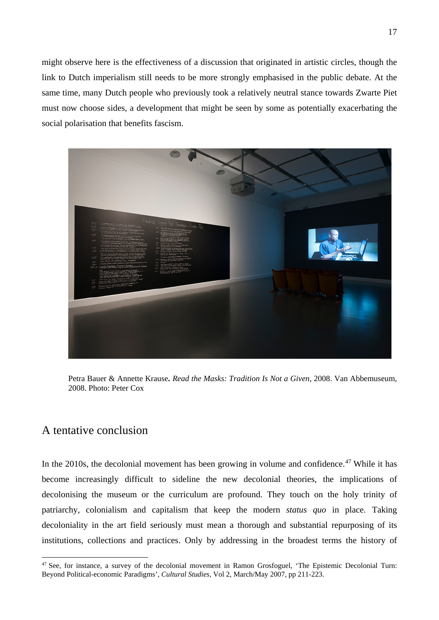might observe here is the effectiveness of a discussion that originated in artistic circles, though the link to Dutch imperialism still needs to be more strongly emphasised in the public debate. At the same time, many Dutch people who previously took a relatively neutral stance towards Zwarte Piet must now choose sides, a development that might be seen by some as potentially exacerbating the social polarisation that benefits fascism.



Petra Bauer & Annette Krause**.** *Read the Masks: Tradition Is Not a Given*, 2008. Van Abbemuseum, 2008. Photo: Peter Cox

### A tentative conclusion

In the 2010s, the decolonial movement has been growing in volume and confidence.<sup>[47](#page-17-0)</sup> While it has become increasingly difficult to sideline the new decolonial theories, the implications of decolonising the museum or the curriculum are profound. They touch on the holy trinity of patriarchy, colonialism and capitalism that keep the modern *status quo* in place. Taking decoloniality in the art field seriously must mean a thorough and substantial repurposing of its institutions, collections and practices. Only by addressing in the broadest terms the history of

<span id="page-17-0"></span><sup>&</sup>lt;sup>47</sup> See, for instance, a survey of the decolonial movement in Ramon Grosfoguel, 'The Epistemic Decolonial Turn: Beyond Political-economic Paradigms', *Cultural Studies,* Vol 2, March/May 2007, pp 211-223.